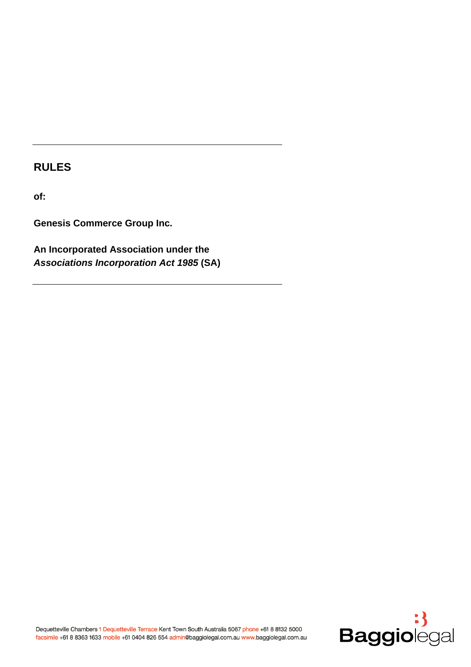# **RULES**

**of:** 

**Genesis Commerce Group Inc.** 

**An Incorporated Association under the**  *Associations Incorporation Act 1985* **(SA)** 

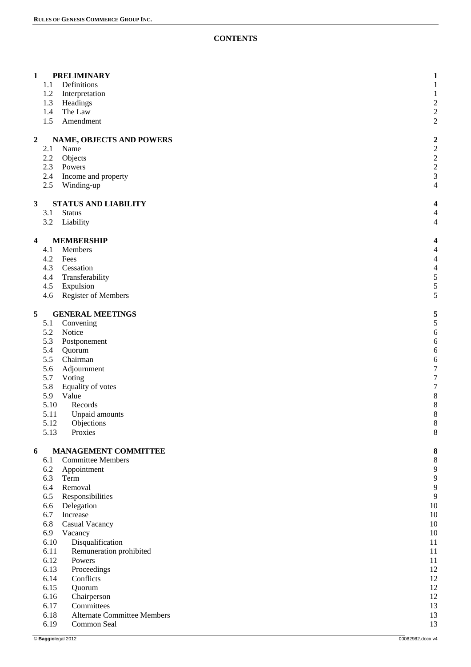# **CONTENTS**

| 1              | 1.1<br>1.2<br>1.3<br>1.4<br>1.5                                                                                                             | <b>PRELIMINARY</b><br>Definitions<br>Interpretation<br>Headings<br>The Law<br>Amendment                                                                                                                                                                                                                                                               | $\mathbf{1}$<br>$\mathbf 1$<br>$\mathbf 1$<br>$\overline{\mathbf{c}}$<br>$\overline{\mathbf{c}}$<br>$\overline{c}$               |
|----------------|---------------------------------------------------------------------------------------------------------------------------------------------|-------------------------------------------------------------------------------------------------------------------------------------------------------------------------------------------------------------------------------------------------------------------------------------------------------------------------------------------------------|----------------------------------------------------------------------------------------------------------------------------------|
| $\overline{2}$ | 2.1<br>2.2<br>2.3<br>2.4<br>2.5                                                                                                             | <b>NAME, OBJECTS AND POWERS</b><br>Name<br>Objects<br>Powers<br>Income and property<br>Winding-up                                                                                                                                                                                                                                                     | $\overline{c}$<br>$\overline{\mathbf{c}}$<br>$\overline{\mathbf{c}}$<br>$\overline{\mathbf{c}}$<br>3<br>$\overline{\mathcal{L}}$ |
| $\mathbf{3}$   | 3.1<br>3.2                                                                                                                                  | <b>STATUS AND LIABILITY</b><br><b>Status</b><br>Liability                                                                                                                                                                                                                                                                                             | 4<br>4<br>4                                                                                                                      |
| 4              | 4.1<br>4.2<br>4.3<br>4.4<br>4.5<br>4.6                                                                                                      | <b>MEMBERSHIP</b><br>Members<br>Fees<br>Cessation<br>Transferability<br>Expulsion<br><b>Register of Members</b>                                                                                                                                                                                                                                       | 4<br>$\overline{\mathcal{L}}$<br>$\overline{\mathcal{L}}$<br>$\overline{\mathcal{L}}$<br>5<br>5<br>5                             |
| 5              | 5.1<br>5.2<br>5.3<br>5.4<br>5.5<br>5.6<br>5.7<br>5.8<br>5.9<br>5.10<br>5.11<br>5.12<br>5.13                                                 | <b>GENERAL MEETINGS</b><br>Convening<br>Notice<br>Postponement<br>Quorum<br>Chairman<br>Adjournment<br>Voting<br>Equality of votes<br>Value<br>Records<br>Unpaid amounts<br>Objections<br>Proxies                                                                                                                                                     | 5<br>5<br>6<br>6<br>6<br>6<br>$\overline{7}$<br>$\overline{7}$<br>$\overline{7}$<br>8<br>8<br>8<br>8<br>8                        |
| 6              | 6.1<br>6.2<br>6.3<br>6.4<br>6.5<br>6.6<br>6.7<br>6.8<br>6.9<br>6.10<br>6.11<br>6.12<br>6.13<br>6.14<br>6.15<br>6.16<br>6.17<br>6.18<br>6.19 | <b>MANAGEMENT COMMITTEE</b><br><b>Committee Members</b><br>Appointment<br>Term<br>Removal<br>Responsibilities<br>Delegation<br>Increase<br>Casual Vacancy<br>Vacancy<br>Disqualification<br>Remuneration prohibited<br>Powers<br>Proceedings<br>Conflicts<br>Quorum<br>Chairperson<br>Committees<br><b>Alternate Committee Members</b><br>Common Seal | 8<br>8<br>9<br>9<br>9<br>9<br>10<br>10<br>10<br>10<br>11<br>11<br>11<br>12<br>12<br>12<br>12<br>13<br>13<br>13                   |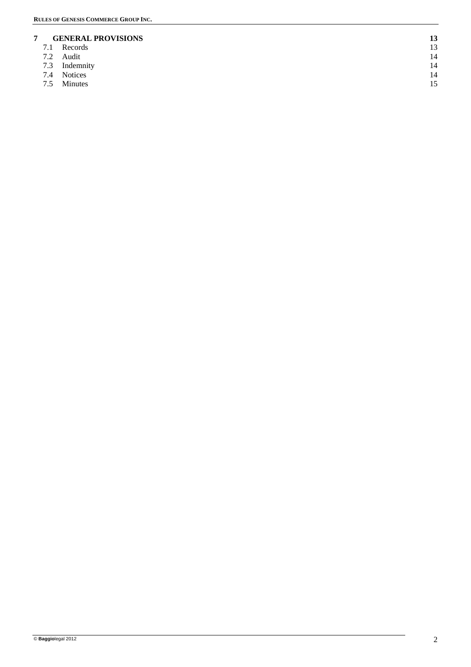# **7 GENERAL PROVISIONS** 13<br> **7.1** Records 13

- 7.1 Records 13
- $7.2$  Audit  $14$
- 7.3 Indemnity 14<br>
7.4 Notices 14
- 7.4 Notices 14<br>7.5 Minutes 15
- 7.5 Minutes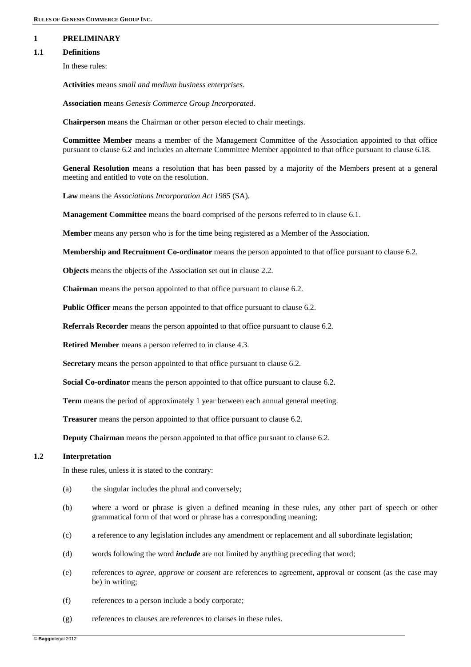# **1 PRELIMINARY**

# **1.1 Definitions**

In these rules:

**Activities** means *small and medium business enterprises*.

**Association** means *Genesis Commerce Group Incorporated*.

**Chairperson** means the Chairman or other person elected to chair meetings.

**Committee Member** means a member of the Management Committee of the Association appointed to that office pursuant to clause 6.2 and includes an alternate Committee Member appointed to that office pursuant to clause 6.18.

**General Resolution** means a resolution that has been passed by a majority of the Members present at a general meeting and entitled to vote on the resolution.

**Law** means the *Associations Incorporation Act 1985* (SA).

**Management Committee** means the board comprised of the persons referred to in clause 6.1.

**Member** means any person who is for the time being registered as a Member of the Association.

**Membership and Recruitment Co-ordinator** means the person appointed to that office pursuant to clause 6.2.

**Objects** means the objects of the Association set out in clause 2.2.

**Chairman** means the person appointed to that office pursuant to clause 6.2.

**Public Officer** means the person appointed to that office pursuant to clause 6.2.

**Referrals Recorder** means the person appointed to that office pursuant to clause 6.2.

**Retired Member** means a person referred to in clause 4.3.

**Secretary** means the person appointed to that office pursuant to clause 6.2.

**Social Co-ordinator** means the person appointed to that office pursuant to clause 6.2.

**Term** means the period of approximately 1 year between each annual general meeting.

**Treasurer** means the person appointed to that office pursuant to clause 6.2.

**Deputy Chairman** means the person appointed to that office pursuant to clause 6.2.

# **1.2 Interpretation**

In these rules, unless it is stated to the contrary:

- (a) the singular includes the plural and conversely;
- (b) where a word or phrase is given a defined meaning in these rules, any other part of speech or other grammatical form of that word or phrase has a corresponding meaning;
- (c) a reference to any legislation includes any amendment or replacement and all subordinate legislation;
- (d) words following the word *include* are not limited by anything preceding that word;
- (e) references to *agree, approve* or *consent* are references to agreement, approval or consent (as the case may be) in writing;
- (f) references to a person include a body corporate;
- (g) references to clauses are references to clauses in these rules.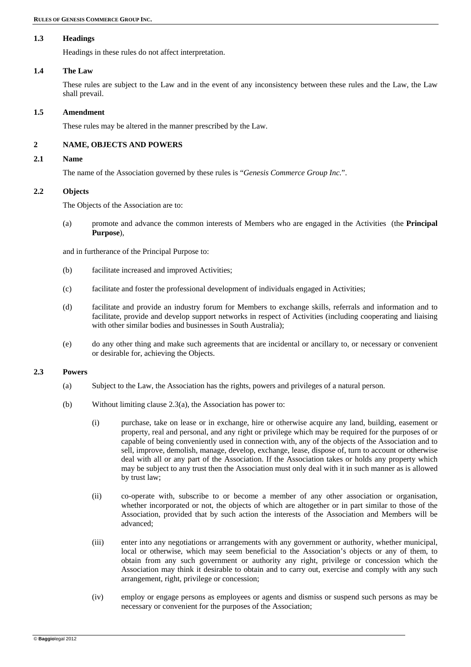# **1.3 Headings**

Headings in these rules do not affect interpretation.

#### **1.4 The Law**

These rules are subject to the Law and in the event of any inconsistency between these rules and the Law, the Law shall prevail.

#### **1.5 Amendment**

These rules may be altered in the manner prescribed by the Law.

# **2 NAME, OBJECTS AND POWERS**

# **2.1 Name**

The name of the Association governed by these rules is "*Genesis Commerce Group Inc.*".

# **2.2 Objects**

The Objects of the Association are to:

(a) promote and advance the common interests of Members who are engaged in the Activities (the **Principal Purpose**),

and in furtherance of the Principal Purpose to:

- (b) facilitate increased and improved Activities;
- (c) facilitate and foster the professional development of individuals engaged in Activities;
- (d) facilitate and provide an industry forum for Members to exchange skills, referrals and information and to facilitate, provide and develop support networks in respect of Activities (including cooperating and liaising with other similar bodies and businesses in South Australia);
- (e) do any other thing and make such agreements that are incidental or ancillary to, or necessary or convenient or desirable for, achieving the Objects.

# **2.3 Powers**

- (a) Subject to the Law, the Association has the rights, powers and privileges of a natural person.
- (b) Without limiting clause 2.3(a), the Association has power to:
	- (i) purchase, take on lease or in exchange, hire or otherwise acquire any land, building, easement or property, real and personal, and any right or privilege which may be required for the purposes of or capable of being conveniently used in connection with, any of the objects of the Association and to sell, improve, demolish, manage, develop, exchange, lease, dispose of, turn to account or otherwise deal with all or any part of the Association. If the Association takes or holds any property which may be subject to any trust then the Association must only deal with it in such manner as is allowed by trust law;
	- (ii) co-operate with, subscribe to or become a member of any other association or organisation, whether incorporated or not, the objects of which are altogether or in part similar to those of the Association, provided that by such action the interests of the Association and Members will be advanced;
	- (iii) enter into any negotiations or arrangements with any government or authority, whether municipal, local or otherwise, which may seem beneficial to the Association's objects or any of them, to obtain from any such government or authority any right, privilege or concession which the Association may think it desirable to obtain and to carry out, exercise and comply with any such arrangement, right, privilege or concession;
	- (iv) employ or engage persons as employees or agents and dismiss or suspend such persons as may be necessary or convenient for the purposes of the Association;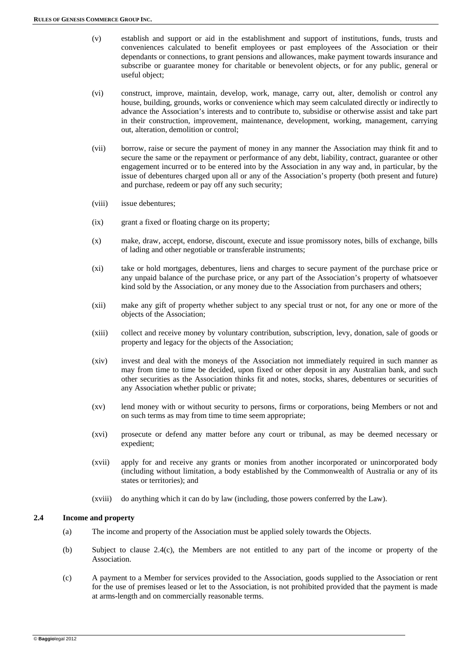- (v) establish and support or aid in the establishment and support of institutions, funds, trusts and conveniences calculated to benefit employees or past employees of the Association or their dependants or connections, to grant pensions and allowances, make payment towards insurance and subscribe or guarantee money for charitable or benevolent objects, or for any public, general or useful object;
- (vi) construct, improve, maintain, develop, work, manage, carry out, alter, demolish or control any house, building, grounds, works or convenience which may seem calculated directly or indirectly to advance the Association's interests and to contribute to, subsidise or otherwise assist and take part in their construction, improvement, maintenance, development, working, management, carrying out, alteration, demolition or control;
- (vii) borrow, raise or secure the payment of money in any manner the Association may think fit and to secure the same or the repayment or performance of any debt, liability, contract, guarantee or other engagement incurred or to be entered into by the Association in any way and, in particular, by the issue of debentures charged upon all or any of the Association's property (both present and future) and purchase, redeem or pay off any such security;
- (viii) issue debentures;
- (ix) grant a fixed or floating charge on its property;
- (x) make, draw, accept, endorse, discount, execute and issue promissory notes, bills of exchange, bills of lading and other negotiable or transferable instruments;
- (xi) take or hold mortgages, debentures, liens and charges to secure payment of the purchase price or any unpaid balance of the purchase price, or any part of the Association's property of whatsoever kind sold by the Association, or any money due to the Association from purchasers and others;
- (xii) make any gift of property whether subject to any special trust or not, for any one or more of the objects of the Association;
- (xiii) collect and receive money by voluntary contribution, subscription, levy, donation, sale of goods or property and legacy for the objects of the Association;
- (xiv) invest and deal with the moneys of the Association not immediately required in such manner as may from time to time be decided, upon fixed or other deposit in any Australian bank, and such other securities as the Association thinks fit and notes, stocks, shares, debentures or securities of any Association whether public or private;
- (xv) lend money with or without security to persons, firms or corporations, being Members or not and on such terms as may from time to time seem appropriate;
- (xvi) prosecute or defend any matter before any court or tribunal, as may be deemed necessary or expedient;
- (xvii) apply for and receive any grants or monies from another incorporated or unincorporated body (including without limitation, a body established by the Commonwealth of Australia or any of its states or territories); and
- (xviii) do anything which it can do by law (including, those powers conferred by the Law).

# **2.4 Income and property**

- (a) The income and property of the Association must be applied solely towards the Objects.
- (b) Subject to clause 2.4(c), the Members are not entitled to any part of the income or property of the Association.
- (c) A payment to a Member for services provided to the Association, goods supplied to the Association or rent for the use of premises leased or let to the Association, is not prohibited provided that the payment is made at arms-length and on commercially reasonable terms.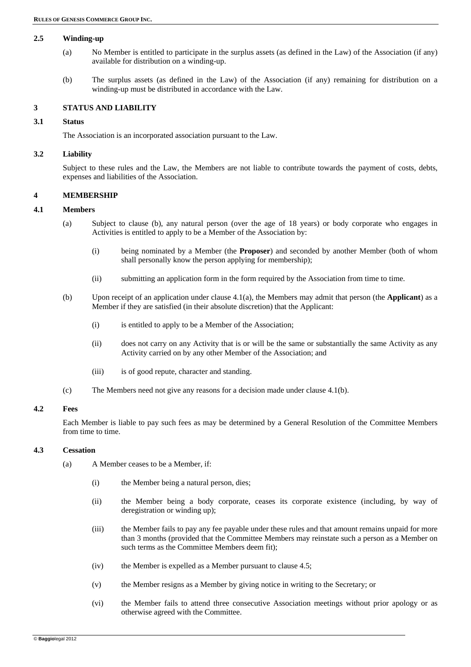#### **2.5 Winding-up**

- (a) No Member is entitled to participate in the surplus assets (as defined in the Law) of the Association (if any) available for distribution on a winding-up.
- (b) The surplus assets (as defined in the Law) of the Association (if any) remaining for distribution on a winding-up must be distributed in accordance with the Law.

# **3 STATUS AND LIABILITY**

#### **3.1 Status**

The Association is an incorporated association pursuant to the Law.

#### **3.2 Liability**

Subject to these rules and the Law, the Members are not liable to contribute towards the payment of costs, debts, expenses and liabilities of the Association.

#### **4 MEMBERSHIP**

#### **4.1 Members**

- (a) Subject to clause (b), any natural person (over the age of 18 years) or body corporate who engages in Activities is entitled to apply to be a Member of the Association by:
	- (i) being nominated by a Member (the **Proposer**) and seconded by another Member (both of whom shall personally know the person applying for membership);
	- (ii) submitting an application form in the form required by the Association from time to time.
- (b) Upon receipt of an application under clause 4.1(a), the Members may admit that person (the **Applicant**) as a Member if they are satisfied (in their absolute discretion) that the Applicant:
	- (i) is entitled to apply to be a Member of the Association;
	- (ii) does not carry on any Activity that is or will be the same or substantially the same Activity as any Activity carried on by any other Member of the Association; and
	- (iii) is of good repute, character and standing.
- (c) The Members need not give any reasons for a decision made under clause 4.1(b).

#### **4.2 Fees**

Each Member is liable to pay such fees as may be determined by a General Resolution of the Committee Members from time to time.

#### **4.3 Cessation**

- (a) A Member ceases to be a Member, if:
	- (i) the Member being a natural person, dies;
	- (ii) the Member being a body corporate, ceases its corporate existence (including, by way of deregistration or winding up);
	- (iii) the Member fails to pay any fee payable under these rules and that amount remains unpaid for more than 3 months (provided that the Committee Members may reinstate such a person as a Member on such terms as the Committee Members deem fit):
	- (iv) the Member is expelled as a Member pursuant to clause 4.5;
	- (v) the Member resigns as a Member by giving notice in writing to the Secretary; or
	- (vi) the Member fails to attend three consecutive Association meetings without prior apology or as otherwise agreed with the Committee.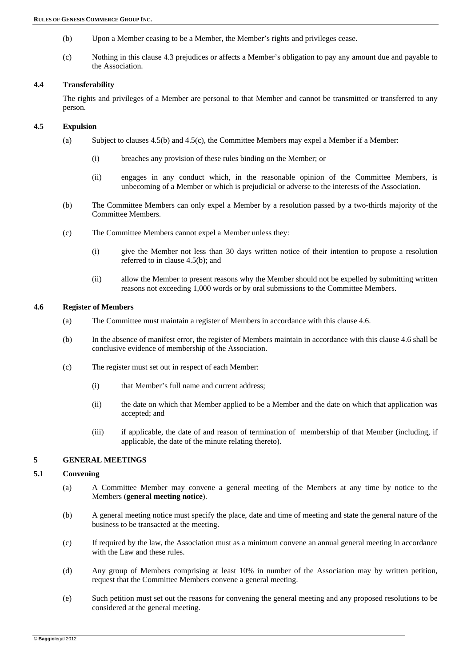- (b) Upon a Member ceasing to be a Member, the Member's rights and privileges cease.
- (c) Nothing in this clause 4.3 prejudices or affects a Member's obligation to pay any amount due and payable to the Association.

# **4.4 Transferability**

The rights and privileges of a Member are personal to that Member and cannot be transmitted or transferred to any person.

# **4.5 Expulsion**

- (a) Subject to clauses 4.5(b) and 4.5(c), the Committee Members may expel a Member if a Member:
	- (i) breaches any provision of these rules binding on the Member; or
	- (ii) engages in any conduct which, in the reasonable opinion of the Committee Members, is unbecoming of a Member or which is prejudicial or adverse to the interests of the Association.
- (b) The Committee Members can only expel a Member by a resolution passed by a two-thirds majority of the Committee Members.
- (c) The Committee Members cannot expel a Member unless they:
	- (i) give the Member not less than 30 days written notice of their intention to propose a resolution referred to in clause 4.5(b); and
	- (ii) allow the Member to present reasons why the Member should not be expelled by submitting written reasons not exceeding 1,000 words or by oral submissions to the Committee Members.

#### **4.6 Register of Members**

- (a) The Committee must maintain a register of Members in accordance with this clause 4.6.
- (b) In the absence of manifest error, the register of Members maintain in accordance with this clause 4.6 shall be conclusive evidence of membership of the Association.
- (c) The register must set out in respect of each Member:
	- (i) that Member's full name and current address;
	- (ii) the date on which that Member applied to be a Member and the date on which that application was accepted; and
	- (iii) if applicable, the date of and reason of termination of membership of that Member (including, if applicable, the date of the minute relating thereto).

# **5 GENERAL MEETINGS**

# **5.1 Convening**

- (a) A Committee Member may convene a general meeting of the Members at any time by notice to the Members (**general meeting notice**).
- (b) A general meeting notice must specify the place, date and time of meeting and state the general nature of the business to be transacted at the meeting.
- (c) If required by the law, the Association must as a minimum convene an annual general meeting in accordance with the Law and these rules.
- (d) Any group of Members comprising at least 10% in number of the Association may by written petition, request that the Committee Members convene a general meeting.
- (e) Such petition must set out the reasons for convening the general meeting and any proposed resolutions to be considered at the general meeting.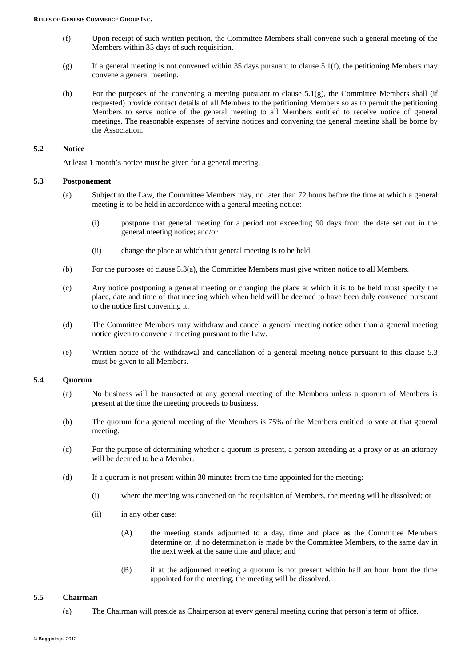- (f) Upon receipt of such written petition, the Committee Members shall convene such a general meeting of the Members within 35 days of such requisition.
- $(g)$  If a general meeting is not convened within 35 days pursuant to clause 5.1(f), the petitioning Members may convene a general meeting.
- (h) For the purposes of the convening a meeting pursuant to clause 5.1(g), the Committee Members shall (if requested) provide contact details of all Members to the petitioning Members so as to permit the petitioning Members to serve notice of the general meeting to all Members entitled to receive notice of general meetings. The reasonable expenses of serving notices and convening the general meeting shall be borne by the Association.

# **5.2 Notice**

At least 1 month's notice must be given for a general meeting.

#### **5.3 Postponement**

- (a) Subject to the Law, the Committee Members may, no later than 72 hours before the time at which a general meeting is to be held in accordance with a general meeting notice:
	- (i) postpone that general meeting for a period not exceeding 90 days from the date set out in the general meeting notice; and/or
	- (ii) change the place at which that general meeting is to be held.
- (b) For the purposes of clause 5.3(a), the Committee Members must give written notice to all Members.
- (c) Any notice postponing a general meeting or changing the place at which it is to be held must specify the place, date and time of that meeting which when held will be deemed to have been duly convened pursuant to the notice first convening it.
- (d) The Committee Members may withdraw and cancel a general meeting notice other than a general meeting notice given to convene a meeting pursuant to the Law.
- (e) Written notice of the withdrawal and cancellation of a general meeting notice pursuant to this clause 5.3 must be given to all Members.

#### **5.4 Quorum**

- (a) No business will be transacted at any general meeting of the Members unless a quorum of Members is present at the time the meeting proceeds to business.
- (b) The quorum for a general meeting of the Members is 75% of the Members entitled to vote at that general meeting.
- (c) For the purpose of determining whether a quorum is present, a person attending as a proxy or as an attorney will be deemed to be a Member.
- (d) If a quorum is not present within 30 minutes from the time appointed for the meeting:
	- (i) where the meeting was convened on the requisition of Members, the meeting will be dissolved; or
	- (ii) in any other case:
		- (A) the meeting stands adjourned to a day, time and place as the Committee Members determine or, if no determination is made by the Committee Members, to the same day in the next week at the same time and place; and
		- (B) if at the adjourned meeting a quorum is not present within half an hour from the time appointed for the meeting, the meeting will be dissolved.

# **5.5 Chairman**

(a) The Chairman will preside as Chairperson at every general meeting during that person's term of office.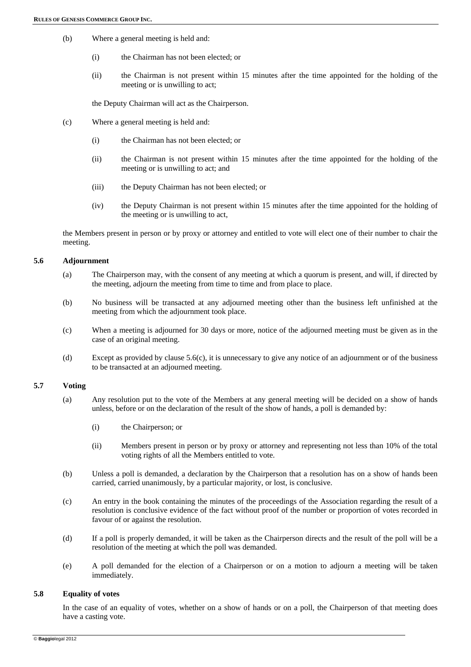- (b) Where a general meeting is held and:
	- (i) the Chairman has not been elected; or
	- (ii) the Chairman is not present within 15 minutes after the time appointed for the holding of the meeting or is unwilling to act;

the Deputy Chairman will act as the Chairperson.

- (c) Where a general meeting is held and:
	- (i) the Chairman has not been elected; or
	- (ii) the Chairman is not present within 15 minutes after the time appointed for the holding of the meeting or is unwilling to act; and
	- (iii) the Deputy Chairman has not been elected; or
	- (iv) the Deputy Chairman is not present within 15 minutes after the time appointed for the holding of the meeting or is unwilling to act,

the Members present in person or by proxy or attorney and entitled to vote will elect one of their number to chair the meeting.

#### **5.6 Adjournment**

- (a) The Chairperson may, with the consent of any meeting at which a quorum is present, and will, if directed by the meeting, adjourn the meeting from time to time and from place to place.
- (b) No business will be transacted at any adjourned meeting other than the business left unfinished at the meeting from which the adjournment took place.
- (c) When a meeting is adjourned for 30 days or more, notice of the adjourned meeting must be given as in the case of an original meeting.
- (d) Except as provided by clause 5.6(c), it is unnecessary to give any notice of an adjournment or of the business to be transacted at an adjourned meeting.

#### **5.7 Voting**

- (a) Any resolution put to the vote of the Members at any general meeting will be decided on a show of hands unless, before or on the declaration of the result of the show of hands, a poll is demanded by:
	- (i) the Chairperson; or
	- (ii) Members present in person or by proxy or attorney and representing not less than 10% of the total voting rights of all the Members entitled to vote.
- (b) Unless a poll is demanded, a declaration by the Chairperson that a resolution has on a show of hands been carried, carried unanimously, by a particular majority, or lost, is conclusive.
- (c) An entry in the book containing the minutes of the proceedings of the Association regarding the result of a resolution is conclusive evidence of the fact without proof of the number or proportion of votes recorded in favour of or against the resolution.
- (d) If a poll is properly demanded, it will be taken as the Chairperson directs and the result of the poll will be a resolution of the meeting at which the poll was demanded.
- (e) A poll demanded for the election of a Chairperson or on a motion to adjourn a meeting will be taken immediately.

#### **5.8 Equality of votes**

In the case of an equality of votes, whether on a show of hands or on a poll, the Chairperson of that meeting does have a casting vote.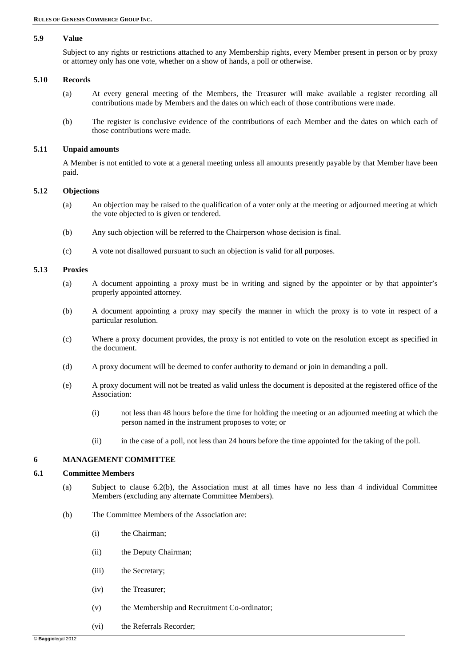# **5.9 Value**

Subject to any rights or restrictions attached to any Membership rights, every Member present in person or by proxy or attorney only has one vote, whether on a show of hands, a poll or otherwise.

#### **5.10 Records**

- (a) At every general meeting of the Members, the Treasurer will make available a register recording all contributions made by Members and the dates on which each of those contributions were made.
- (b) The register is conclusive evidence of the contributions of each Member and the dates on which each of those contributions were made.

#### **5.11 Unpaid amounts**

A Member is not entitled to vote at a general meeting unless all amounts presently payable by that Member have been paid.

#### **5.12 Objections**

- (a) An objection may be raised to the qualification of a voter only at the meeting or adjourned meeting at which the vote objected to is given or tendered.
- (b) Any such objection will be referred to the Chairperson whose decision is final.
- (c) A vote not disallowed pursuant to such an objection is valid for all purposes.

#### **5.13 Proxies**

- (a) A document appointing a proxy must be in writing and signed by the appointer or by that appointer's properly appointed attorney.
- (b) A document appointing a proxy may specify the manner in which the proxy is to vote in respect of a particular resolution.
- (c) Where a proxy document provides, the proxy is not entitled to vote on the resolution except as specified in the document.
- (d) A proxy document will be deemed to confer authority to demand or join in demanding a poll.
- (e) A proxy document will not be treated as valid unless the document is deposited at the registered office of the Association:
	- (i) not less than 48 hours before the time for holding the meeting or an adjourned meeting at which the person named in the instrument proposes to vote; or
	- (ii) in the case of a poll, not less than 24 hours before the time appointed for the taking of the poll.

#### **6 MANAGEMENT COMMITTEE**

#### **6.1 Committee Members**

- (a) Subject to clause 6.2(b), the Association must at all times have no less than 4 individual Committee Members (excluding any alternate Committee Members).
- (b) The Committee Members of the Association are:
	- (i) the Chairman;
	- (ii) the Deputy Chairman;
	- (iii) the Secretary;
	- (iv) the Treasurer;
	- (v) the Membership and Recruitment Co-ordinator;
	- (vi) the Referrals Recorder;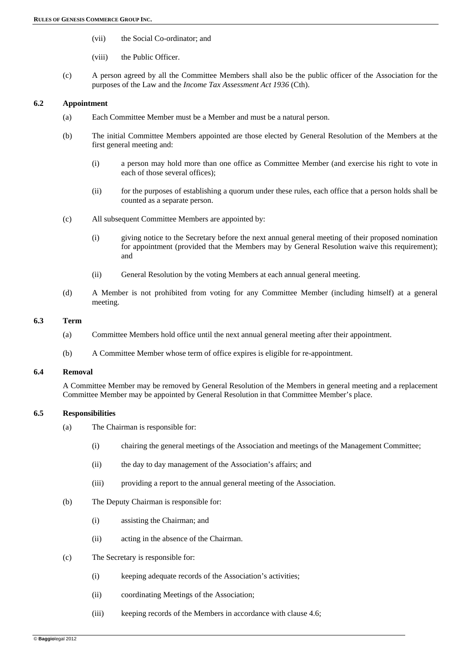- (vii) the Social Co-ordinator; and
- (viii) the Public Officer.
- (c) A person agreed by all the Committee Members shall also be the public officer of the Association for the purposes of the Law and the *Income Tax Assessment Act 1936* (Cth).

# **6.2 Appointment**

- (a) Each Committee Member must be a Member and must be a natural person.
- (b) The initial Committee Members appointed are those elected by General Resolution of the Members at the first general meeting and:
	- (i) a person may hold more than one office as Committee Member (and exercise his right to vote in each of those several offices);
	- (ii) for the purposes of establishing a quorum under these rules, each office that a person holds shall be counted as a separate person.
- (c) All subsequent Committee Members are appointed by:
	- (i) giving notice to the Secretary before the next annual general meeting of their proposed nomination for appointment (provided that the Members may by General Resolution waive this requirement); and
	- (ii) General Resolution by the voting Members at each annual general meeting.
- (d) A Member is not prohibited from voting for any Committee Member (including himself) at a general meeting.

# **6.3 Term**

- (a) Committee Members hold office until the next annual general meeting after their appointment.
- (b) A Committee Member whose term of office expires is eligible for re-appointment.

# **6.4 Removal**

A Committee Member may be removed by General Resolution of the Members in general meeting and a replacement Committee Member may be appointed by General Resolution in that Committee Member's place.

# **6.5 Responsibilities**

- (a) The Chairman is responsible for:
	- (i) chairing the general meetings of the Association and meetings of the Management Committee;
	- (ii) the day to day management of the Association's affairs; and
	- (iii) providing a report to the annual general meeting of the Association.
- (b) The Deputy Chairman is responsible for:
	- (i) assisting the Chairman; and
	- (ii) acting in the absence of the Chairman.
- (c) The Secretary is responsible for:
	- (i) keeping adequate records of the Association's activities;
	- (ii) coordinating Meetings of the Association;
	- (iii) keeping records of the Members in accordance with clause 4.6;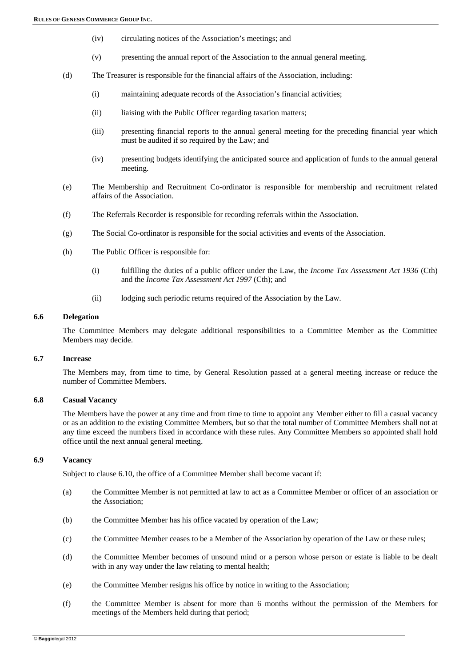- (iv) circulating notices of the Association's meetings; and
- (v) presenting the annual report of the Association to the annual general meeting.
- (d) The Treasurer is responsible for the financial affairs of the Association, including:
	- (i) maintaining adequate records of the Association's financial activities;
	- (ii) liaising with the Public Officer regarding taxation matters;
	- (iii) presenting financial reports to the annual general meeting for the preceding financial year which must be audited if so required by the Law; and
	- (iv) presenting budgets identifying the anticipated source and application of funds to the annual general meeting.
- (e) The Membership and Recruitment Co-ordinator is responsible for membership and recruitment related affairs of the Association.
- (f) The Referrals Recorder is responsible for recording referrals within the Association.
- (g) The Social Co-ordinator is responsible for the social activities and events of the Association.
- (h) The Public Officer is responsible for:
	- (i) fulfilling the duties of a public officer under the Law, the *Income Tax Assessment Act 1936* (Cth) and the *Income Tax Assessment Act 1997* (Cth); and
	- (ii) lodging such periodic returns required of the Association by the Law.

#### **6.6 Delegation**

The Committee Members may delegate additional responsibilities to a Committee Member as the Committee Members may decide.

# **6.7 Increase**

The Members may, from time to time, by General Resolution passed at a general meeting increase or reduce the number of Committee Members.

#### **6.8 Casual Vacancy**

The Members have the power at any time and from time to time to appoint any Member either to fill a casual vacancy or as an addition to the existing Committee Members, but so that the total number of Committee Members shall not at any time exceed the numbers fixed in accordance with these rules. Any Committee Members so appointed shall hold office until the next annual general meeting.

#### **6.9 Vacancy**

Subject to clause 6.10, the office of a Committee Member shall become vacant if:

- (a) the Committee Member is not permitted at law to act as a Committee Member or officer of an association or the Association;
- (b) the Committee Member has his office vacated by operation of the Law;
- (c) the Committee Member ceases to be a Member of the Association by operation of the Law or these rules;
- (d) the Committee Member becomes of unsound mind or a person whose person or estate is liable to be dealt with in any way under the law relating to mental health;
- (e) the Committee Member resigns his office by notice in writing to the Association;
- (f) the Committee Member is absent for more than 6 months without the permission of the Members for meetings of the Members held during that period;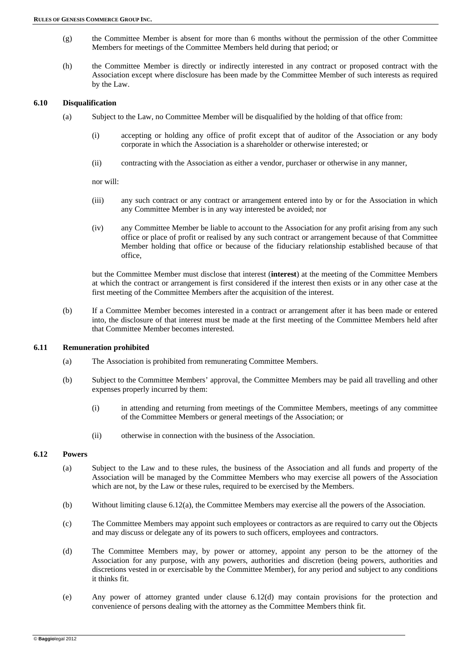- (g) the Committee Member is absent for more than 6 months without the permission of the other Committee Members for meetings of the Committee Members held during that period; or
- (h) the Committee Member is directly or indirectly interested in any contract or proposed contract with the Association except where disclosure has been made by the Committee Member of such interests as required by the Law.

# **6.10 Disqualification**

- (a) Subject to the Law, no Committee Member will be disqualified by the holding of that office from:
	- (i) accepting or holding any office of profit except that of auditor of the Association or any body corporate in which the Association is a shareholder or otherwise interested; or
	- (ii) contracting with the Association as either a vendor, purchaser or otherwise in any manner,

nor will:

- (iii) any such contract or any contract or arrangement entered into by or for the Association in which any Committee Member is in any way interested be avoided; nor
- (iv) any Committee Member be liable to account to the Association for any profit arising from any such office or place of profit or realised by any such contract or arrangement because of that Committee Member holding that office or because of the fiduciary relationship established because of that office,

but the Committee Member must disclose that interest (**interest**) at the meeting of the Committee Members at which the contract or arrangement is first considered if the interest then exists or in any other case at the first meeting of the Committee Members after the acquisition of the interest.

(b) If a Committee Member becomes interested in a contract or arrangement after it has been made or entered into, the disclosure of that interest must be made at the first meeting of the Committee Members held after that Committee Member becomes interested.

#### **6.11 Remuneration prohibited**

- (a) The Association is prohibited from remunerating Committee Members.
- (b) Subject to the Committee Members' approval, the Committee Members may be paid all travelling and other expenses properly incurred by them:
	- (i) in attending and returning from meetings of the Committee Members, meetings of any committee of the Committee Members or general meetings of the Association; or
	- (ii) otherwise in connection with the business of the Association.

#### **6.12 Powers**

- (a) Subject to the Law and to these rules, the business of the Association and all funds and property of the Association will be managed by the Committee Members who may exercise all powers of the Association which are not, by the Law or these rules, required to be exercised by the Members.
- (b) Without limiting clause 6.12(a), the Committee Members may exercise all the powers of the Association.
- (c) The Committee Members may appoint such employees or contractors as are required to carry out the Objects and may discuss or delegate any of its powers to such officers, employees and contractors.
- (d) The Committee Members may, by power or attorney, appoint any person to be the attorney of the Association for any purpose, with any powers, authorities and discretion (being powers, authorities and discretions vested in or exercisable by the Committee Member), for any period and subject to any conditions it thinks fit.
- (e) Any power of attorney granted under clause 6.12(d) may contain provisions for the protection and convenience of persons dealing with the attorney as the Committee Members think fit.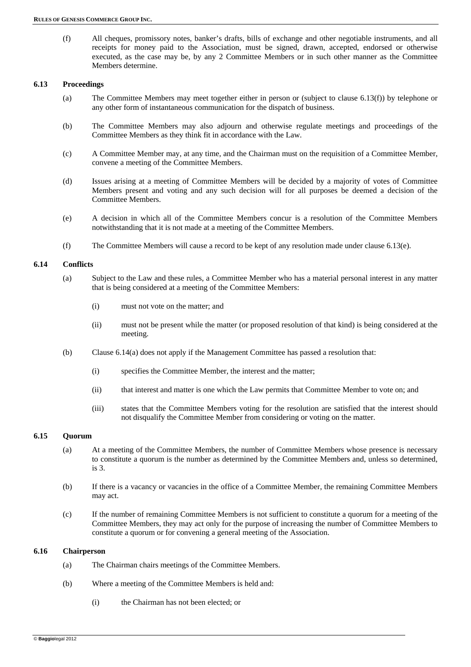(f) All cheques, promissory notes, banker's drafts, bills of exchange and other negotiable instruments, and all receipts for money paid to the Association, must be signed, drawn, accepted, endorsed or otherwise executed, as the case may be, by any 2 Committee Members or in such other manner as the Committee Members determine.

# **6.13 Proceedings**

- (a) The Committee Members may meet together either in person or (subject to clause 6.13(f)) by telephone or any other form of instantaneous communication for the dispatch of business.
- (b) The Committee Members may also adjourn and otherwise regulate meetings and proceedings of the Committee Members as they think fit in accordance with the Law.
- (c) A Committee Member may, at any time, and the Chairman must on the requisition of a Committee Member, convene a meeting of the Committee Members.
- (d) Issues arising at a meeting of Committee Members will be decided by a majority of votes of Committee Members present and voting and any such decision will for all purposes be deemed a decision of the Committee Members.
- (e) A decision in which all of the Committee Members concur is a resolution of the Committee Members notwithstanding that it is not made at a meeting of the Committee Members.
- (f) The Committee Members will cause a record to be kept of any resolution made under clause 6.13(e).

# **6.14 Conflicts**

- (a) Subject to the Law and these rules, a Committee Member who has a material personal interest in any matter that is being considered at a meeting of the Committee Members:
	- (i) must not vote on the matter; and
	- (ii) must not be present while the matter (or proposed resolution of that kind) is being considered at the meeting.
- (b) Clause 6.14(a) does not apply if the Management Committee has passed a resolution that:
	- (i) specifies the Committee Member, the interest and the matter;
	- (ii) that interest and matter is one which the Law permits that Committee Member to vote on; and
	- (iii) states that the Committee Members voting for the resolution are satisfied that the interest should not disqualify the Committee Member from considering or voting on the matter.

# **6.15 Quorum**

- (a) At a meeting of the Committee Members, the number of Committee Members whose presence is necessary to constitute a quorum is the number as determined by the Committee Members and, unless so determined, is 3.
- (b) If there is a vacancy or vacancies in the office of a Committee Member, the remaining Committee Members may act.
- (c) If the number of remaining Committee Members is not sufficient to constitute a quorum for a meeting of the Committee Members, they may act only for the purpose of increasing the number of Committee Members to constitute a quorum or for convening a general meeting of the Association.

#### **6.16 Chairperson**

- (a) The Chairman chairs meetings of the Committee Members.
- (b) Where a meeting of the Committee Members is held and:
	- (i) the Chairman has not been elected; or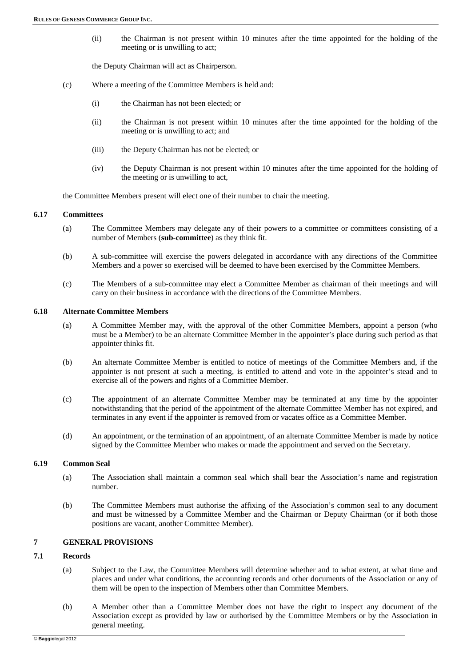(ii) the Chairman is not present within 10 minutes after the time appointed for the holding of the meeting or is unwilling to act;

the Deputy Chairman will act as Chairperson.

- (c) Where a meeting of the Committee Members is held and:
	- (i) the Chairman has not been elected; or
	- (ii) the Chairman is not present within 10 minutes after the time appointed for the holding of the meeting or is unwilling to act; and
	- (iii) the Deputy Chairman has not be elected; or
	- (iv) the Deputy Chairman is not present within 10 minutes after the time appointed for the holding of the meeting or is unwilling to act,

the Committee Members present will elect one of their number to chair the meeting.

### **6.17 Committees**

- (a) The Committee Members may delegate any of their powers to a committee or committees consisting of a number of Members (**sub-committee**) as they think fit.
- (b) A sub-committee will exercise the powers delegated in accordance with any directions of the Committee Members and a power so exercised will be deemed to have been exercised by the Committee Members.
- (c) The Members of a sub-committee may elect a Committee Member as chairman of their meetings and will carry on their business in accordance with the directions of the Committee Members.

#### **6.18 Alternate Committee Members**

- (a) A Committee Member may, with the approval of the other Committee Members, appoint a person (who must be a Member) to be an alternate Committee Member in the appointer's place during such period as that appointer thinks fit.
- (b) An alternate Committee Member is entitled to notice of meetings of the Committee Members and, if the appointer is not present at such a meeting, is entitled to attend and vote in the appointer's stead and to exercise all of the powers and rights of a Committee Member.
- (c) The appointment of an alternate Committee Member may be terminated at any time by the appointer notwithstanding that the period of the appointment of the alternate Committee Member has not expired, and terminates in any event if the appointer is removed from or vacates office as a Committee Member.
- (d) An appointment, or the termination of an appointment, of an alternate Committee Member is made by notice signed by the Committee Member who makes or made the appointment and served on the Secretary.

# **6.19 Common Seal**

- (a) The Association shall maintain a common seal which shall bear the Association's name and registration number.
- (b) The Committee Members must authorise the affixing of the Association's common seal to any document and must be witnessed by a Committee Member and the Chairman or Deputy Chairman (or if both those positions are vacant, another Committee Member).

# **7 GENERAL PROVISIONS**

# **7.1 Records**

- (a) Subject to the Law, the Committee Members will determine whether and to what extent, at what time and places and under what conditions, the accounting records and other documents of the Association or any of them will be open to the inspection of Members other than Committee Members.
- (b) A Member other than a Committee Member does not have the right to inspect any document of the Association except as provided by law or authorised by the Committee Members or by the Association in general meeting.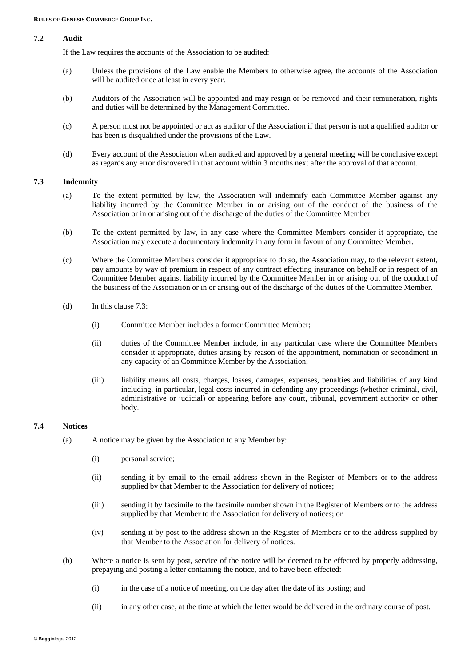# **7.2 Audit**

If the Law requires the accounts of the Association to be audited:

- (a) Unless the provisions of the Law enable the Members to otherwise agree, the accounts of the Association will be audited once at least in every year.
- (b) Auditors of the Association will be appointed and may resign or be removed and their remuneration, rights and duties will be determined by the Management Committee.
- (c) A person must not be appointed or act as auditor of the Association if that person is not a qualified auditor or has been is disqualified under the provisions of the Law.
- (d) Every account of the Association when audited and approved by a general meeting will be conclusive except as regards any error discovered in that account within 3 months next after the approval of that account.

# **7.3 Indemnity**

- (a) To the extent permitted by law, the Association will indemnify each Committee Member against any liability incurred by the Committee Member in or arising out of the conduct of the business of the Association or in or arising out of the discharge of the duties of the Committee Member.
- (b) To the extent permitted by law, in any case where the Committee Members consider it appropriate, the Association may execute a documentary indemnity in any form in favour of any Committee Member.
- (c) Where the Committee Members consider it appropriate to do so, the Association may, to the relevant extent, pay amounts by way of premium in respect of any contract effecting insurance on behalf or in respect of an Committee Member against liability incurred by the Committee Member in or arising out of the conduct of the business of the Association or in or arising out of the discharge of the duties of the Committee Member.
- (d) In this clause 7.3:
	- (i) Committee Member includes a former Committee Member;
	- (ii) duties of the Committee Member include, in any particular case where the Committee Members consider it appropriate, duties arising by reason of the appointment, nomination or secondment in any capacity of an Committee Member by the Association;
	- (iii) liability means all costs, charges, losses, damages, expenses, penalties and liabilities of any kind including, in particular, legal costs incurred in defending any proceedings (whether criminal, civil, administrative or judicial) or appearing before any court, tribunal, government authority or other body.

# **7.4 Notices**

- (a) A notice may be given by the Association to any Member by:
	- (i) personal service;
	- (ii) sending it by email to the email address shown in the Register of Members or to the address supplied by that Member to the Association for delivery of notices;
	- (iii) sending it by facsimile to the facsimile number shown in the Register of Members or to the address supplied by that Member to the Association for delivery of notices; or
	- (iv) sending it by post to the address shown in the Register of Members or to the address supplied by that Member to the Association for delivery of notices.
- (b) Where a notice is sent by post, service of the notice will be deemed to be effected by properly addressing, prepaying and posting a letter containing the notice, and to have been effected:
	- (i) in the case of a notice of meeting, on the day after the date of its posting; and
	- (ii) in any other case, at the time at which the letter would be delivered in the ordinary course of post.